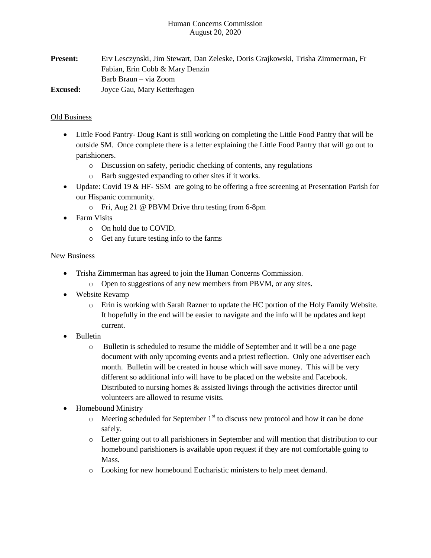#### Human Concerns Commission August 20, 2020

**Present:** Erv Lesczynski, Jim Stewart, Dan Zeleske, Doris Grajkowski, Trisha Zimmerman, Fr Fabian, Erin Cobb & Mary Denzin Barb Braun – via Zoom **Excused:** Joyce Gau, Mary Ketterhagen

## Old Business

- Little Food Pantry- Doug Kant is still working on completing the Little Food Pantry that will be outside SM. Once complete there is a letter explaining the Little Food Pantry that will go out to parishioners.
	- o Discussion on safety, periodic checking of contents, any regulations
	- o Barb suggested expanding to other sites if it works.
- Update: Covid 19 & HF-SSM are going to be offering a free screening at Presentation Parish for our Hispanic community.
	- o Fri, Aug 21 @ PBVM Drive thru testing from 6-8pm
- Farm Visits
	- o On hold due to COVID.
	- o Get any future testing info to the farms

#### **New Business**

- Trisha Zimmerman has agreed to join the Human Concerns Commission.
	- o Open to suggestions of any new members from PBVM, or any sites.
- Website Revamp
	- o Erin is working with Sarah Razner to update the HC portion of the Holy Family Website. It hopefully in the end will be easier to navigate and the info will be updates and kept current.
- Bulletin
	- o Bulletin is scheduled to resume the middle of September and it will be a one page document with only upcoming events and a priest reflection. Only one advertiser each month. Bulletin will be created in house which will save money. This will be very different so additional info will have to be placed on the website and Facebook. Distributed to nursing homes & assisted livings through the activities director until volunteers are allowed to resume visits.
- Homebound Ministry
	- $\circ$  Meeting scheduled for September 1<sup>st</sup> to discuss new protocol and how it can be done safely.
	- o Letter going out to all parishioners in September and will mention that distribution to our homebound parishioners is available upon request if they are not comfortable going to Mass.
	- o Looking for new homebound Eucharistic ministers to help meet demand.